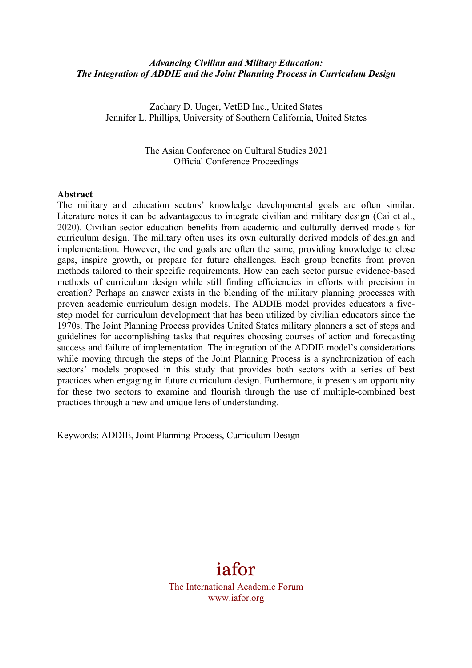#### *Advancing Civilian and Military Education: The Integration of ADDIE and the Joint Planning Process in Curriculum Design*

Zachary D. Unger, VetED Inc., United States Jennifer L. Phillips, University of Southern California, United States

> The Asian Conference on Cultural Studies 2021 Official Conference Proceedings

#### **Abstract**

The military and education sectors' knowledge developmental goals are often similar. Literature notes it can be advantageous to integrate civilian and military design (Cai et al., 2020). Civilian sector education benefits from academic and culturally derived models for curriculum design. The military often uses its own culturally derived models of design and implementation. However, the end goals are often the same, providing knowledge to close gaps, inspire growth, or prepare for future challenges. Each group benefits from proven methods tailored to their specific requirements. How can each sector pursue evidence-based methods of curriculum design while still finding efficiencies in efforts with precision in creation? Perhaps an answer exists in the blending of the military planning processes with proven academic curriculum design models. The ADDIE model provides educators a fivestep model for curriculum development that has been utilized by civilian educators since the 1970s. The Joint Planning Process provides United States military planners a set of steps and guidelines for accomplishing tasks that requires choosing courses of action and forecasting success and failure of implementation. The integration of the ADDIE model's considerations while moving through the steps of the Joint Planning Process is a synchronization of each sectors' models proposed in this study that provides both sectors with a series of best practices when engaging in future curriculum design. Furthermore, it presents an opportunity for these two sectors to examine and flourish through the use of multiple-combined best practices through a new and unique lens of understanding.

Keywords: ADDIE, Joint Planning Process, Curriculum Design

# iafor

The International Academic Forum www.iafor.org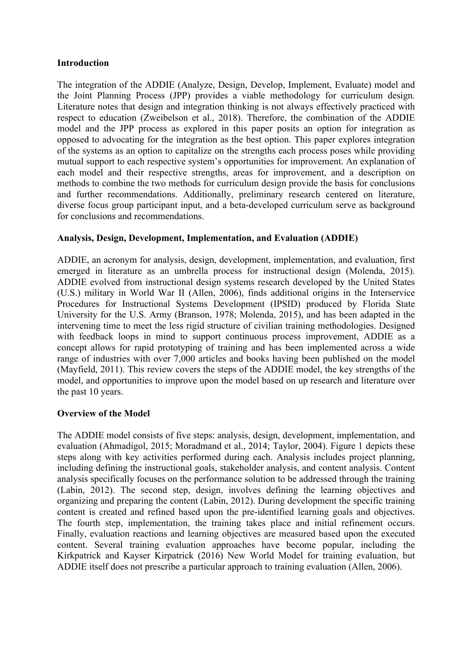## **Introduction**

The integration of the ADDIE (Analyze, Design, Develop, Implement, Evaluate) model and the Joint Planning Process (JPP) provides a viable methodology for curriculum design. Literature notes that design and integration thinking is not always effectively practiced with respect to education (Zweibelson et al., 2018). Therefore, the combination of the ADDIE model and the JPP process as explored in this paper posits an option for integration as opposed to advocating for the integration as the best option. This paper explores integration of the systems as an option to capitalize on the strengths each process poses while providing mutual support to each respective system's opportunities for improvement. An explanation of each model and their respective strengths, areas for improvement, and a description on methods to combine the two methods for curriculum design provide the basis for conclusions and further recommendations. Additionally, preliminary research centered on literature, diverse focus group participant input, and a beta-developed curriculum serve as background for conclusions and recommendations.

# **Analysis, Design, Development, Implementation, and Evaluation (ADDIE)**

ADDIE, an acronym for analysis, design, development, implementation, and evaluation, first emerged in literature as an umbrella process for instructional design (Molenda, 2015). ADDIE evolved from instructional design systems research developed by the United States (U.S.) military in World War II (Allen, 2006), finds additional origins in the Interservice Procedures for Instructional Systems Development (IPSID) produced by Florida State University for the U.S. Army (Branson, 1978; Molenda, 2015), and has been adapted in the intervening time to meet the less rigid structure of civilian training methodologies. Designed with feedback loops in mind to support continuous process improvement, ADDIE as a concept allows for rapid prototyping of training and has been implemented across a wide range of industries with over 7,000 articles and books having been published on the model (Mayfield, 2011). This review covers the steps of the ADDIE model, the key strengths of the model, and opportunities to improve upon the model based on up research and literature over the past 10 years.

#### **Overview of the Model**

The ADDIE model consists of five steps: analysis, design, development, implementation, and evaluation (Ahmadigol, 2015; Moradmand et al., 2014; Taylor, 2004). Figure 1 depicts these steps along with key activities performed during each. Analysis includes project planning, including defining the instructional goals, stakeholder analysis, and content analysis. Content analysis specifically focuses on the performance solution to be addressed through the training (Labin, 2012). The second step, design, involves defining the learning objectives and organizing and preparing the content (Labin, 2012). During development the specific training content is created and refined based upon the pre-identified learning goals and objectives. The fourth step, implementation, the training takes place and initial refinement occurs. Finally, evaluation reactions and learning objectives are measured based upon the executed content. Several training evaluation approaches have become popular, including the Kirkpatrick and Kayser Kirpatrick (2016) New World Model for training evaluation, but ADDIE itself does not prescribe a particular approach to training evaluation (Allen, 2006).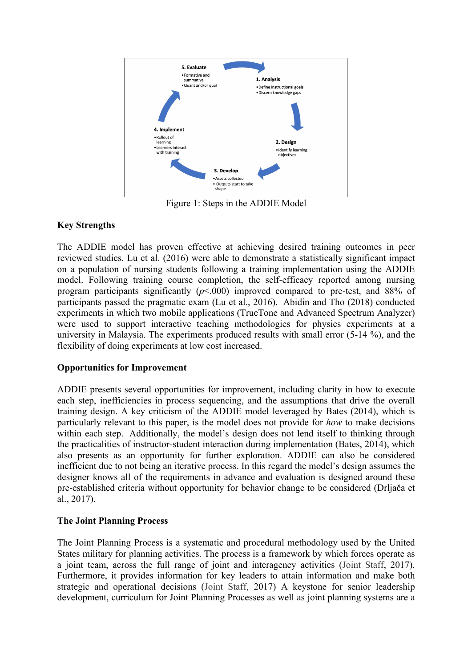

Figure 1: Steps in the ADDIE Model

# **Key Strengths**

The ADDIE model has proven effective at achieving desired training outcomes in peer reviewed studies. Lu et al. (2016) were able to demonstrate a statistically significant impact on a population of nursing students following a training implementation using the ADDIE model. Following training course completion, the self-efficacy reported among nursing program participants significantly  $(p<0.00)$  improved compared to pre-test, and 88% of participants passed the pragmatic exam (Lu et al., 2016). Abidin and Tho (2018) conducted experiments in which two mobile applications (TrueTone and Advanced Spectrum Analyzer) were used to support interactive teaching methodologies for physics experiments at a university in Malaysia. The experiments produced results with small error (5-14 %), and the flexibility of doing experiments at low cost increased.

# **Opportunities for Improvement**

ADDIE presents several opportunities for improvement, including clarity in how to execute each step, inefficiencies in process sequencing, and the assumptions that drive the overall training design. A key criticism of the ADDIE model leveraged by Bates (2014), which is particularly relevant to this paper, is the model does not provide for *how* to make decisions within each step. Additionally, the model's design does not lend itself to thinking through the practicalities of instructor-student interaction during implementation (Bates, 2014), which also presents as an opportunity for further exploration. ADDIE can also be considered inefficient due to not being an iterative process. In this regard the model's design assumes the designer knows all of the requirements in advance and evaluation is designed around these pre-established criteria without opportunity for behavior change to be considered (Drljača et al., 2017).

# **The Joint Planning Process**

The Joint Planning Process is a systematic and procedural methodology used by the United States military for planning activities. The process is a framework by which forces operate as a joint team, across the full range of joint and interagency activities (Joint Staff, 2017). Furthermore, it provides information for key leaders to attain information and make both strategic and operational decisions (Joint Staff, 2017) A keystone for senior leadership development, curriculum for Joint Planning Processes as well as joint planning systems are a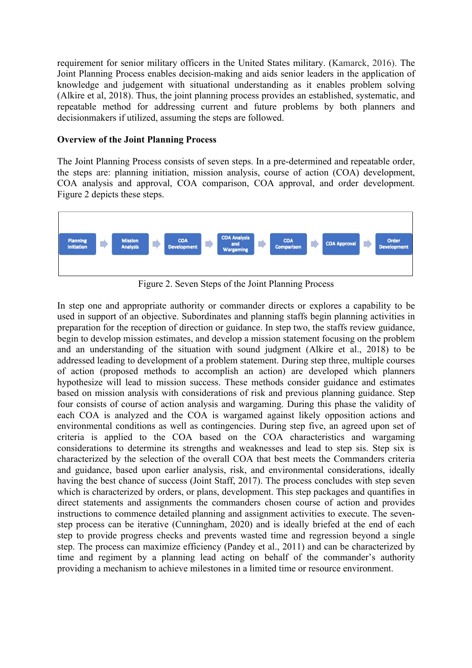requirement for senior military officers in the United States military. (Kamarck, 2016). The Joint Planning Process enables decision-making and aids senior leaders in the application of knowledge and judgement with situational understanding as it enables problem solving (Alkire et al, 2018). Thus, the joint planning process provides an established, systematic, and repeatable method for addressing current and future problems by both planners and decisionmakers if utilized, assuming the steps are followed.

#### **Overview of the Joint Planning Process**

The Joint Planning Process consists of seven steps. In a pre-determined and repeatable order, the steps are: planning initiation, mission analysis, course of action (COA) development, COA analysis and approval, COA comparison, COA approval, and order development. Figure 2 depicts these steps.



Figure 2. Seven Steps of the Joint Planning Process

In step one and appropriate authority or commander directs or explores a capability to be used in support of an objective. Subordinates and planning staffs begin planning activities in preparation for the reception of direction or guidance. In step two, the staffs review guidance, begin to develop mission estimates, and develop a mission statement focusing on the problem and an understanding of the situation with sound judgment (Alkire et al., 2018) to be addressed leading to development of a problem statement. During step three, multiple courses of action (proposed methods to accomplish an action) are developed which planners hypothesize will lead to mission success. These methods consider guidance and estimates based on mission analysis with considerations of risk and previous planning guidance. Step four consists of course of action analysis and wargaming. During this phase the validity of each COA is analyzed and the COA is wargamed against likely opposition actions and environmental conditions as well as contingencies. During step five, an agreed upon set of criteria is applied to the COA based on the COA characteristics and wargaming considerations to determine its strengths and weaknesses and lead to step sis. Step six is characterized by the selection of the overall COA that best meets the Commanders criteria and guidance, based upon earlier analysis, risk, and environmental considerations, ideally having the best chance of success (Joint Staff, 2017). The process concludes with step seven which is characterized by orders, or plans, development. This step packages and quantifies in direct statements and assignments the commanders chosen course of action and provides instructions to commence detailed planning and assignment activities to execute. The sevenstep process can be iterative (Cunningham, 2020) and is ideally briefed at the end of each step to provide progress checks and prevents wasted time and regression beyond a single step. The process can maximize efficiency (Pandey et al., 2011) and can be characterized by time and regiment by a planning lead acting on behalf of the commander's authority providing a mechanism to achieve milestones in a limited time or resource environment.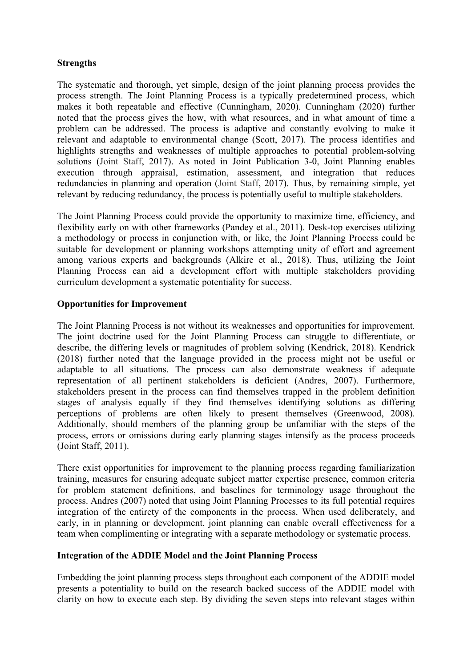# **Strengths**

The systematic and thorough, yet simple, design of the joint planning process provides the process strength. The Joint Planning Process is a typically predetermined process, which makes it both repeatable and effective (Cunningham, 2020). Cunningham (2020) further noted that the process gives the how, with what resources, and in what amount of time a problem can be addressed. The process is adaptive and constantly evolving to make it relevant and adaptable to environmental change (Scott, 2017). The process identifies and highlights strengths and weaknesses of multiple approaches to potential problem-solving solutions (Joint Staff, 2017). As noted in Joint Publication 3-0, Joint Planning enables execution through appraisal, estimation, assessment, and integration that reduces redundancies in planning and operation (Joint Staff, 2017). Thus, by remaining simple, yet relevant by reducing redundancy, the process is potentially useful to multiple stakeholders.

The Joint Planning Process could provide the opportunity to maximize time, efficiency, and flexibility early on with other frameworks (Pandey et al., 2011). Desk-top exercises utilizing a methodology or process in conjunction with, or like, the Joint Planning Process could be suitable for development or planning workshops attempting unity of effort and agreement among various experts and backgrounds (Alkire et al., 2018). Thus, utilizing the Joint Planning Process can aid a development effort with multiple stakeholders providing curriculum development a systematic potentiality for success.

# **Opportunities for Improvement**

The Joint Planning Process is not without its weaknesses and opportunities for improvement. The joint doctrine used for the Joint Planning Process can struggle to differentiate, or describe, the differing levels or magnitudes of problem solving (Kendrick, 2018). Kendrick (2018) further noted that the language provided in the process might not be useful or adaptable to all situations. The process can also demonstrate weakness if adequate representation of all pertinent stakeholders is deficient (Andres, 2007). Furthermore, stakeholders present in the process can find themselves trapped in the problem definition stages of analysis equally if they find themselves identifying solutions as differing perceptions of problems are often likely to present themselves (Greenwood, 2008). Additionally, should members of the planning group be unfamiliar with the steps of the process, errors or omissions during early planning stages intensify as the process proceeds (Joint Staff, 2011).

There exist opportunities for improvement to the planning process regarding familiarization training, measures for ensuring adequate subject matter expertise presence, common criteria for problem statement definitions, and baselines for terminology usage throughout the process. Andres (2007) noted that using Joint Planning Processes to its full potential requires integration of the entirety of the components in the process. When used deliberately, and early, in in planning or development, joint planning can enable overall effectiveness for a team when complimenting or integrating with a separate methodology or systematic process.

#### **Integration of the ADDIE Model and the Joint Planning Process**

Embedding the joint planning process steps throughout each component of the ADDIE model presents a potentiality to build on the research backed success of the ADDIE model with clarity on how to execute each step. By dividing the seven steps into relevant stages within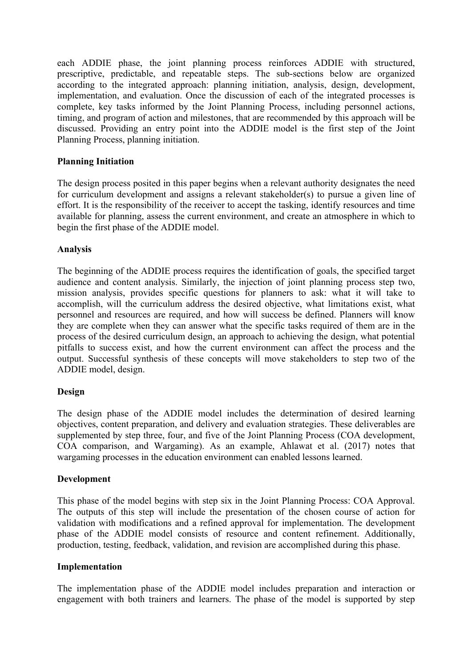each ADDIE phase, the joint planning process reinforces ADDIE with structured, prescriptive, predictable, and repeatable steps. The sub-sections below are organized according to the integrated approach: planning initiation, analysis, design, development, implementation, and evaluation. Once the discussion of each of the integrated processes is complete, key tasks informed by the Joint Planning Process, including personnel actions, timing, and program of action and milestones, that are recommended by this approach will be discussed. Providing an entry point into the ADDIE model is the first step of the Joint Planning Process, planning initiation.

# **Planning Initiation**

The design process posited in this paper begins when a relevant authority designates the need for curriculum development and assigns a relevant stakeholder(s) to pursue a given line of effort. It is the responsibility of the receiver to accept the tasking, identify resources and time available for planning, assess the current environment, and create an atmosphere in which to begin the first phase of the ADDIE model.

## **Analysis**

The beginning of the ADDIE process requires the identification of goals, the specified target audience and content analysis. Similarly, the injection of joint planning process step two, mission analysis, provides specific questions for planners to ask: what it will take to accomplish, will the curriculum address the desired objective, what limitations exist, what personnel and resources are required, and how will success be defined. Planners will know they are complete when they can answer what the specific tasks required of them are in the process of the desired curriculum design, an approach to achieving the design, what potential pitfalls to success exist, and how the current environment can affect the process and the output. Successful synthesis of these concepts will move stakeholders to step two of the ADDIE model, design.

#### **Design**

The design phase of the ADDIE model includes the determination of desired learning objectives, content preparation, and delivery and evaluation strategies. These deliverables are supplemented by step three, four, and five of the Joint Planning Process (COA development, COA comparison, and Wargaming). As an example, Ahlawat et al. (2017) notes that wargaming processes in the education environment can enabled lessons learned.

#### **Development**

This phase of the model begins with step six in the Joint Planning Process: COA Approval. The outputs of this step will include the presentation of the chosen course of action for validation with modifications and a refined approval for implementation. The development phase of the ADDIE model consists of resource and content refinement. Additionally, production, testing, feedback, validation, and revision are accomplished during this phase.

#### **Implementation**

The implementation phase of the ADDIE model includes preparation and interaction or engagement with both trainers and learners. The phase of the model is supported by step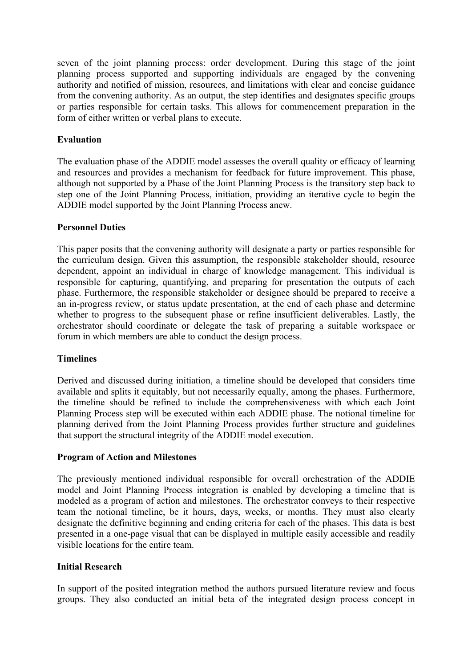seven of the joint planning process: order development. During this stage of the joint planning process supported and supporting individuals are engaged by the convening authority and notified of mission, resources, and limitations with clear and concise guidance from the convening authority. As an output, the step identifies and designates specific groups or parties responsible for certain tasks. This allows for commencement preparation in the form of either written or verbal plans to execute.

# **Evaluation**

The evaluation phase of the ADDIE model assesses the overall quality or efficacy of learning and resources and provides a mechanism for feedback for future improvement. This phase, although not supported by a Phase of the Joint Planning Process is the transitory step back to step one of the Joint Planning Process, initiation, providing an iterative cycle to begin the ADDIE model supported by the Joint Planning Process anew.

## **Personnel Duties**

This paper posits that the convening authority will designate a party or parties responsible for the curriculum design. Given this assumption, the responsible stakeholder should, resource dependent, appoint an individual in charge of knowledge management. This individual is responsible for capturing, quantifying, and preparing for presentation the outputs of each phase. Furthermore, the responsible stakeholder or designee should be prepared to receive a an in-progress review, or status update presentation, at the end of each phase and determine whether to progress to the subsequent phase or refine insufficient deliverables. Lastly, the orchestrator should coordinate or delegate the task of preparing a suitable workspace or forum in which members are able to conduct the design process.

#### **Timelines**

Derived and discussed during initiation, a timeline should be developed that considers time available and splits it equitably, but not necessarily equally, among the phases. Furthermore, the timeline should be refined to include the comprehensiveness with which each Joint Planning Process step will be executed within each ADDIE phase. The notional timeline for planning derived from the Joint Planning Process provides further structure and guidelines that support the structural integrity of the ADDIE model execution.

#### **Program of Action and Milestones**

The previously mentioned individual responsible for overall orchestration of the ADDIE model and Joint Planning Process integration is enabled by developing a timeline that is modeled as a program of action and milestones. The orchestrator conveys to their respective team the notional timeline, be it hours, days, weeks, or months. They must also clearly designate the definitive beginning and ending criteria for each of the phases. This data is best presented in a one-page visual that can be displayed in multiple easily accessible and readily visible locations for the entire team.

#### **Initial Research**

In support of the posited integration method the authors pursued literature review and focus groups. They also conducted an initial beta of the integrated design process concept in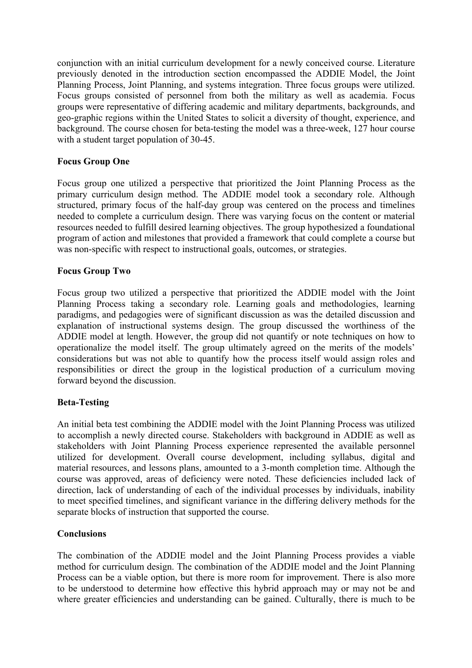conjunction with an initial curriculum development for a newly conceived course. Literature previously denoted in the introduction section encompassed the ADDIE Model, the Joint Planning Process, Joint Planning, and systems integration. Three focus groups were utilized. Focus groups consisted of personnel from both the military as well as academia. Focus groups were representative of differing academic and military departments, backgrounds, and geo-graphic regions within the United States to solicit a diversity of thought, experience, and background. The course chosen for beta-testing the model was a three-week, 127 hour course with a student target population of 30-45.

# **Focus Group One**

Focus group one utilized a perspective that prioritized the Joint Planning Process as the primary curriculum design method. The ADDIE model took a secondary role. Although structured, primary focus of the half-day group was centered on the process and timelines needed to complete a curriculum design. There was varying focus on the content or material resources needed to fulfill desired learning objectives. The group hypothesized a foundational program of action and milestones that provided a framework that could complete a course but was non-specific with respect to instructional goals, outcomes, or strategies.

#### **Focus Group Two**

Focus group two utilized a perspective that prioritized the ADDIE model with the Joint Planning Process taking a secondary role. Learning goals and methodologies, learning paradigms, and pedagogies were of significant discussion as was the detailed discussion and explanation of instructional systems design. The group discussed the worthiness of the ADDIE model at length. However, the group did not quantify or note techniques on how to operationalize the model itself. The group ultimately agreed on the merits of the models' considerations but was not able to quantify how the process itself would assign roles and responsibilities or direct the group in the logistical production of a curriculum moving forward beyond the discussion.

#### **Beta-Testing**

An initial beta test combining the ADDIE model with the Joint Planning Process was utilized to accomplish a newly directed course. Stakeholders with background in ADDIE as well as stakeholders with Joint Planning Process experience represented the available personnel utilized for development. Overall course development, including syllabus, digital and material resources, and lessons plans, amounted to a 3-month completion time. Although the course was approved, areas of deficiency were noted. These deficiencies included lack of direction, lack of understanding of each of the individual processes by individuals, inability to meet specified timelines, and significant variance in the differing delivery methods for the separate blocks of instruction that supported the course.

#### **Conclusions**

The combination of the ADDIE model and the Joint Planning Process provides a viable method for curriculum design. The combination of the ADDIE model and the Joint Planning Process can be a viable option, but there is more room for improvement. There is also more to be understood to determine how effective this hybrid approach may or may not be and where greater efficiencies and understanding can be gained. Culturally, there is much to be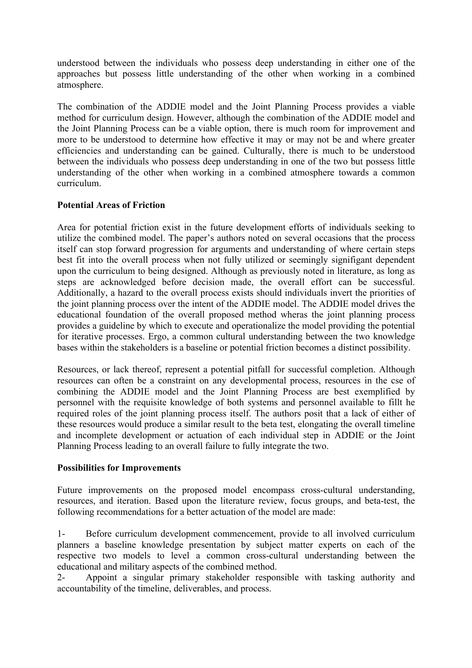understood between the individuals who possess deep understanding in either one of the approaches but possess little understanding of the other when working in a combined atmosphere.

The combination of the ADDIE model and the Joint Planning Process provides a viable method for curriculum design. However, although the combination of the ADDIE model and the Joint Planning Process can be a viable option, there is much room for improvement and more to be understood to determine how effective it may or may not be and where greater efficiencies and understanding can be gained. Culturally, there is much to be understood between the individuals who possess deep understanding in one of the two but possess little understanding of the other when working in a combined atmosphere towards a common curriculum.

## **Potential Areas of Friction**

Area for potential friction exist in the future development efforts of individuals seeking to utilize the combined model. The paper's authors noted on several occasions that the process itself can stop forward progression for arguments and understanding of where certain steps best fit into the overall process when not fully utilized or seemingly signifigant dependent upon the curriculum to being designed. Although as previously noted in literature, as long as steps are acknowledged before decision made, the overall effort can be successful. Additionally, a hazard to the overall process exists should individuals invert the priorities of the joint planning process over the intent of the ADDIE model. The ADDIE model drives the educational foundation of the overall proposed method wheras the joint planning process provides a guideline by which to execute and operationalize the model providing the potential for iterative processes. Ergo, a common cultural understanding between the two knowledge bases within the stakeholders is a baseline or potential friction becomes a distinct possibility.

Resources, or lack thereof, represent a potential pitfall for successful completion. Although resources can often be a constraint on any developmental process, resources in the cse of combining the ADDIE model and the Joint Planning Process are best exemplified by personnel with the requisite knowledge of both systems and personnel available to fillt he required roles of the joint planning process itself. The authors posit that a lack of either of these resources would produce a similar result to the beta test, elongating the overall timeline and incomplete development or actuation of each individual step in ADDIE or the Joint Planning Process leading to an overall failure to fully integrate the two.

#### **Possibilities for Improvements**

Future improvements on the proposed model encompass cross-cultural understanding, resources, and iteration. Based upon the literature review, focus groups, and beta-test, the following recommendations for a better actuation of the model are made:

1- Before curriculum development commencement, provide to all involved curriculum planners a baseline knowledge presentation by subject matter experts on each of the respective two models to level a common cross-cultural understanding between the educational and military aspects of the combined method.

2- Appoint a singular primary stakeholder responsible with tasking authority and accountability of the timeline, deliverables, and process.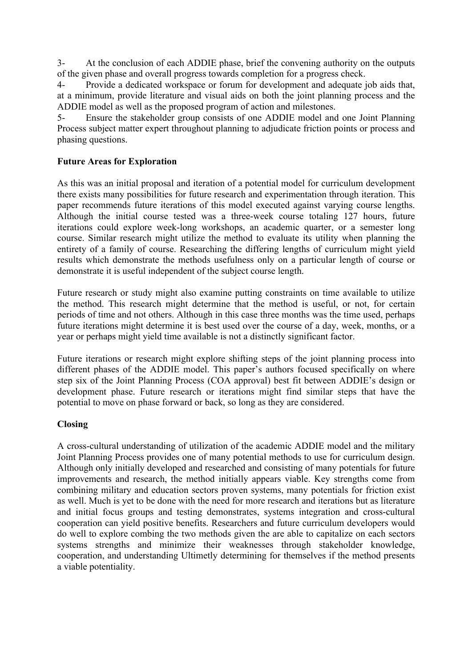3- At the conclusion of each ADDIE phase, brief the convening authority on the outputs of the given phase and overall progress towards completion for a progress check.

4- Provide a dedicated workspace or forum for development and adequate job aids that, at a minimum, provide literature and visual aids on both the joint planning process and the ADDIE model as well as the proposed program of action and milestones.

5- Ensure the stakeholder group consists of one ADDIE model and one Joint Planning Process subject matter expert throughout planning to adjudicate friction points or process and phasing questions.

# **Future Areas for Exploration**

As this was an initial proposal and iteration of a potential model for curriculum development there exists many possibilities for future research and experimentation through iteration. This paper recommends future iterations of this model executed against varying course lengths. Although the initial course tested was a three-week course totaling 127 hours, future iterations could explore week-long workshops, an academic quarter, or a semester long course. Similar research might utilize the method to evaluate its utility when planning the entirety of a family of course. Researching the differing lengths of curriculum might yield results which demonstrate the methods usefulness only on a particular length of course or demonstrate it is useful independent of the subject course length.

Future research or study might also examine putting constraints on time available to utilize the method. This research might determine that the method is useful, or not, for certain periods of time and not others. Although in this case three months was the time used, perhaps future iterations might determine it is best used over the course of a day, week, months, or a year or perhaps might yield time available is not a distinctly significant factor.

Future iterations or research might explore shifting steps of the joint planning process into different phases of the ADDIE model. This paper's authors focused specifically on where step six of the Joint Planning Process (COA approval) best fit between ADDIE's design or development phase. Future research or iterations might find similar steps that have the potential to move on phase forward or back, so long as they are considered.

# **Closing**

A cross-cultural understanding of utilization of the academic ADDIE model and the military Joint Planning Process provides one of many potential methods to use for curriculum design. Although only initially developed and researched and consisting of many potentials for future improvements and research, the method initially appears viable. Key strengths come from combining military and education sectors proven systems, many potentials for friction exist as well. Much is yet to be done with the need for more research and iterations but as literature and initial focus groups and testing demonstrates, systems integration and cross-cultural cooperation can yield positive benefits. Researchers and future curriculum developers would do well to explore combing the two methods given the are able to capitalize on each sectors systems strengths and minimize their weaknesses through stakeholder knowledge, cooperation, and understanding Ultimetly determining for themselves if the method presents a viable potentiality.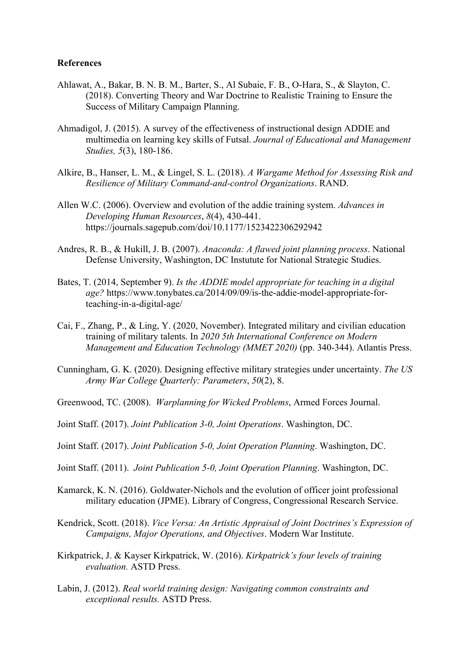#### **References**

- Ahlawat, A., Bakar, B. N. B. M., Barter, S., Al Subaie, F. B., O-Hara, S., & Slayton, C. (2018). Converting Theory and War Doctrine to Realistic Training to Ensure the Success of Military Campaign Planning.
- Ahmadigol, J. (2015). A survey of the effectiveness of instructional design ADDIE and multimedia on learning key skills of Futsal. *Journal of Educational and Management Studies, 5*(3), 180-186.
- Alkire, B., Hanser, L. M., & Lingel, S. L. (2018). *A Wargame Method for Assessing Risk and Resilience of Military Command-and-control Organizations*. RAND.
- Allen W.C. (2006). Overview and evolution of the addie training system. *Advances in Developing Human Resources*, *8*(4), 430-441. https://journals.sagepub.com/doi/10.1177/1523422306292942
- Andres, R. B., & Hukill, J. B. (2007). *Anaconda: A flawed joint planning process*. National Defense University, Washington, DC Instutute for National Strategic Studies.
- Bates, T. (2014, September 9). *Is the ADDIE model appropriate for teaching in a digital age?* https://www.tonybates.ca/2014/09/09/is-the-addie-model-appropriate-forteaching-in-a-digital-age/
- Cai, F., Zhang, P., & Ling, Y. (2020, November). Integrated military and civilian education training of military talents. In *2020 5th International Conference on Modern Management and Education Technology (MMET 2020)* (pp. 340-344). Atlantis Press.
- Cunningham, G. K. (2020). Designing effective military strategies under uncertainty. *The US Army War College Quarterly: Parameters*, *50*(2), 8.

Greenwood, TC. (2008). *Warplanning for Wicked Problems*, Armed Forces Journal.

- Joint Staff. (2017). *Joint Publication 3-0, Joint Operations*. Washington, DC.
- Joint Staff. (2017). *Joint Publication 5-0, Joint Operation Planning*. Washington, DC.
- Joint Staff. (2011). *Joint Publication 5-0, Joint Operation Planning*. Washington, DC.
- Kamarck, K. N. (2016). Goldwater-Nichols and the evolution of officer joint professional military education (JPME). Library of Congress, Congressional Research Service.
- Kendrick, Scott. (2018). *Vice Versa: An Artistic Appraisal of Joint Doctrines's Expression of Campaigns, Major Operations, and Objectives*. Modern War Institute.
- Kirkpatrick, J. & Kayser Kirkpatrick, W. (2016). *Kirkpatrick's four levels of training evaluation.* ASTD Press.
- Labin, J. (2012). *Real world training design: Navigating common constraints and exceptional results.* ASTD Press.